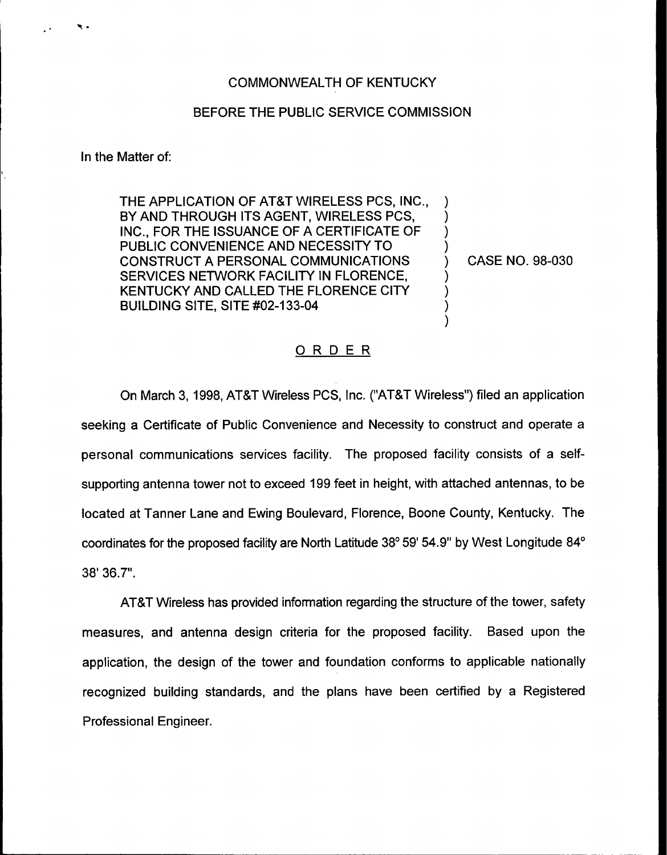## BEFORE THE PUBLIC SERVICE COMMISSION

In the Matter of:

THE APPLICATION OF AT8T WIRELESS PCS, INC., BY AND THROUGH ITS AGENT, WIRELESS PCS, INC., FOR THE ISSUANCE OF A CERTIFICATE OF PUBLIC CONVENIENCE AND NECESSITY TO CONSTRUCT A PERSONAL COMMUNICATIONS SERVICES NETWORK FACILITY IN FLORENCE, KENTUCKY AND CALLED THE FLORENCE CITY **BUILDING SITE, SITE #02-133-04** 

) CASE NO. 98-030

) ) ) )

> ) ) ) )

## ORDER

On March 3, 1998, AT&T Wireless PCS, Inc. ("AT&T Wireless") filed an applicatio seeking a Certificate of Public Convenience and Necessity to construct and operate a personal communications services facility. The proposed facility consists of a selfsupporting antenna tower not to exceed 199 feet in height, with attached antennas, to be located at Tanner Lane and Ewing Boulevard, Florence, Boone County, Kentucky. The coordinates for the proposed facility are North Latitude  $38^{\circ}$  59' 54.9" by West Longitude  $84^{\circ}$ 38' 36.7".

ATBT Wireless has provided information regarding the structure of the tower, safety measures, and antenna design criteria for the proposed facility. Based upon the application, the design of the tower and foundation conforms to applicable nationally recognized building standards, and the plans have been certified by a Registered Professional Engineer.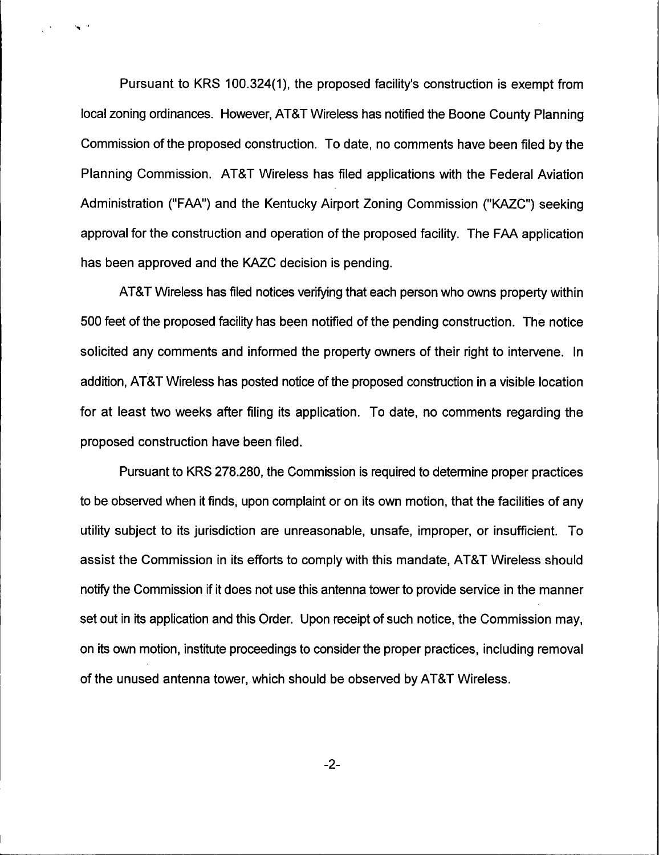Pursuant to KRS 100.324(1), the proposed facility's construction is exempt from local zoning ordinances. However, AT8T Wireless has notified the Boone County Planning Commission of the proposed construction. To date, no comments have been filed by the Planning Commission. AT8T Wireless has filed applications with the Federal Aviation Administration ("FAA") and the Kentucky Airport Zoning Commission ("KAZC") seeking approval for the construction and operation of the proposed facility. The FAA application has been approved and the KAZC decision is pending.

 $\mathbf{v}$ 

AT8T Wireless has filed notices verifying that each person who owns property within 500 feet of the proposed facility has been notified of the pending construction. The notice solicited any comments and informed the property owners of their right to intervene. In addition, AT8T Wireless has posted notice of the proposed construction in a visible location for at least two weeks after filing its application. To date, no comments regarding the proposed construction have been filed.

Pursuant to KRS 278.280, the Commission is required to determine proper practices to be observed when it finds, upon complaint or on its own motion, that the facilities of any utility subject to its jurisdiction are unreasonable, unsafe, improper, or insufficient. To assist the Commission in its efforts to comply with this mandate, AT8T Wireless should notify the Commission if it does not use this antenna tower to provide service in the manner set out in its application and this Order. Upon receipt of such notice, the Commission may, on its own motion, institute proceedings to consider the proper practices, including removal of the unused antenna tower, which should be observed by AT8T Wireless.

 $-2-$